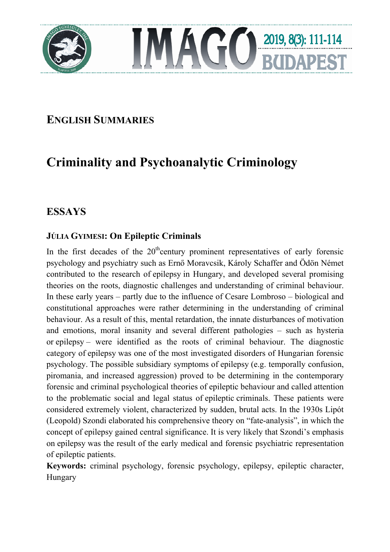



# **ENGLISH SUMMARIES**

# **Criminality and Psychoanalytic Criminology**

## **ESSAYS**

### **JÚLIA GYIMESI: On Epileptic Criminals**

In the first decades of the  $20<sup>th</sup>$ century prominent representatives of early forensic psychology and psychiatry such as Ernő Moravcsik, Károly Schaffer and Ödön Német contributed to the research of epilepsy in Hungary, and developed several promising theories on the roots, diagnostic challenges and understanding of criminal behaviour. In these early years – partly due to the influence of Cesare Lombroso – biological and constitutional approaches were rather determining in the understanding of criminal behaviour. As a result of this, mental retardation, the innate disturbances of motivation and emotions, moral insanity and several different pathologies – such as hysteria or epilepsy – were identified as the roots of criminal behaviour. The diagnostic category of epilepsy was one of the most investigated disorders of Hungarian forensic psychology. The possible subsidiary symptoms of epilepsy (e.g. temporally confusion, piromania, and increased aggression) proved to be determining in the contemporary forensic and criminal psychological theories of epileptic behaviour and called attention to the problematic social and legal status of epileptic criminals. These patients were considered extremely violent, characterized by sudden, brutal acts. In the 1930s Lipót (Leopold) Szondi elaborated his comprehensive theory on "fate-analysis", in which the concept of epilepsy gained central significance. It is very likely that Szondi's emphasis on epilepsy was the result of the early medical and forensic psychiatric representation of epileptic patients.

**Keywords:** criminal psychology, forensic psychology, epilepsy, epileptic character, Hungary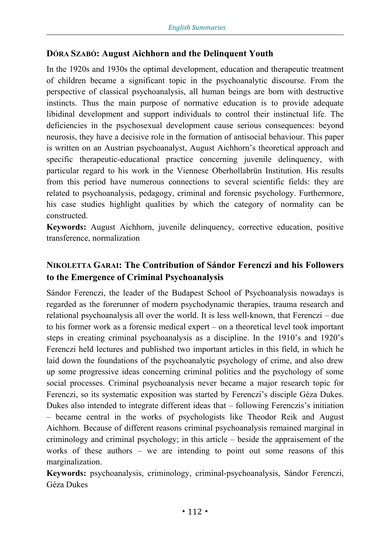#### **DÓRA SZABÓ: August Aichhorn and the Delinquent Youth**

In the 1920s and 1930s the optimal development, education and therapeutic treatment of children became a significant topic in the psychoanalytic discourse. From the perspective of classical psychoanalysis, all human beings are born with destructive instincts. Thus the main purpose of normative education is to provide adequate libidinal development and support individuals to control their instinctual life. The deficiencies in the psychosexual development cause serious consequences: beyond neurosis, they have a decisive role in the formation of antisocial behaviour. This paper is written on an Austrian psychoanalyst, August Aichhorn's theoretical approach and specific therapeutic-educational practice concerning juvenile delinquency, with particular regard to his work in the Viennese Oberhollabrün Institution. His results from this period have numerous connections to several scientific fields: they are related to psychoanalysis, pedagogy, criminal and forensic psychology. Furthermore, his case studies highlight qualities by which the category of normality can be constructed.

**Keywords:** August Aichhorn, juvenile delinquency, corrective education, positive transference, normalization

#### **NIKOLETTA GARAI: The Contribution of Sándor Ferenczi and his Followers to the Emergence of Criminal Psychoanalysis**

Sándor Ferenczi, the leader of the Budapest School of Psychoanalysis nowadays is regarded as the forerunner of modern psychodynamic therapies, trauma research and relational psychoanalysis all over the world. It is less well-known, that Ferenczi – due to his former work as a forensic medical expert – on a theoretical level took important steps in creating criminal psychoanalysis as a discipline. In the 1910's and 1920's Ferenczi held lectures and published two important articles in this field, in which he laid down the foundations of the psychoanalytic psychology of crime, and also drew up some progressive ideas concerning criminal politics and the psychology of some social processes. Criminal psychoanalysis never became a major research topic for Ferenczi, so its systematic exposition was started by Ferenczi's disciple Géza Dukes. Dukes also intended to integrate different ideas that – following Ferenczis's initiation – became central in the works of psychologists like Theodor Reik and August Aichhorn. Because of different reasons criminal psychoanalysis remained marginal in criminology and criminal psychology; in this article – beside the appraisement of the works of these authors – we are intending to point out some reasons of this marginalization.

**Keywords:** psychoanalysis, criminology, criminal-psychoanalysis, Sándor Ferenczi, Géza Dukes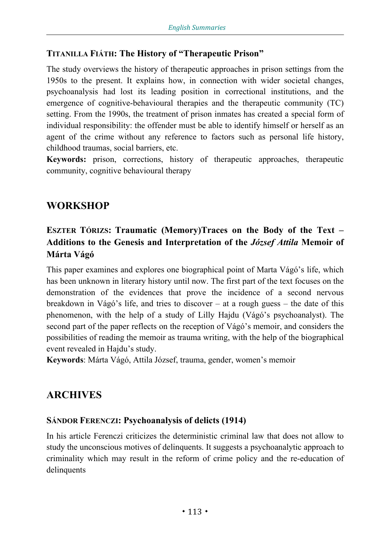#### **TITANILLA FIÁTH: The History of "Therapeutic Prison"**

The study overviews the history of therapeutic approaches in prison settings from the 1950s to the present. It explains how, in connection with wider societal changes, psychoanalysis had lost its leading position in correctional institutions, and the emergence of cognitive-behavioural therapies and the therapeutic community (TC) setting. From the 1990s, the treatment of prison inmates has created a special form of individual responsibility: the offender must be able to identify himself or herself as an agent of the crime without any reference to factors such as personal life history, childhood traumas, social barriers, etc.

**Keywords:** prison, corrections, history of therapeutic approaches, therapeutic community, cognitive behavioural therapy

# **WORKSHOP**

### **ESZTER TÓRIZS: Traumatic (Memory)Traces on the Body of the Text – Additions to the Genesis and Interpretation of the** *József Attila* **Memoir of Márta Vágó**

This paper examines and explores one biographical point of Marta Vágó's life, which has been unknown in literary history until now. The first part of the text focuses on the demonstration of the evidences that prove the incidence of a second nervous breakdown in Vágó's life, and tries to discover – at a rough guess – the date of this phenomenon, with the help of a study of Lilly Hajdu (Vágó's psychoanalyst). The second part of the paper reflects on the reception of Vágó's memoir, and considers the possibilities of reading the memoir as trauma writing, with the help of the biographical event revealed in Hajdu's study.

**Keywords**: Márta Vágó, Attila József, trauma, gender, women's memoir

### **ARCHIVES**

#### **SÁNDOR FERENCZI: Psychoanalysis of delicts (1914)**

In his article Ferenczi criticizes the deterministic criminal law that does not allow to study the unconscious motives of delinquents. It suggests a psychoanalytic approach to criminality which may result in the reform of crime policy and the re-education of delinquents